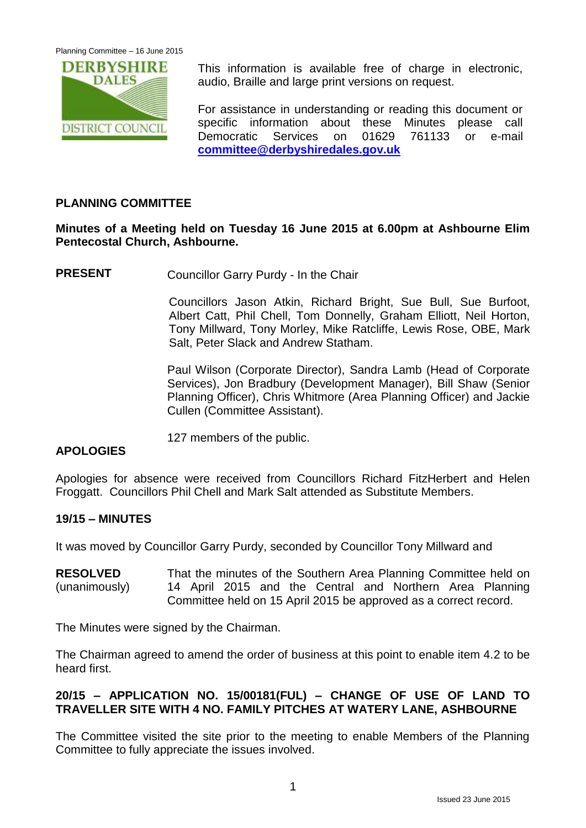

This information is available free of charge in electronic, audio, Braille and large print versions on request.

For assistance in understanding or reading this document or specific information about these Minutes please call Democratic Services on 01629 761133 or e-mail **[committee@derbyshiredales.gov.uk](mailto:committee@derbyshiredales.gov.uk)**

# **PLANNING COMMITTEE**

# **Minutes of a Meeting held on Tuesday 16 June 2015 at 6.00pm at Ashbourne Elim Pentecostal Church, Ashbourne.**

**PRESENT** Councillor Garry Purdy - In the Chair

Councillors Jason Atkin, Richard Bright, Sue Bull, Sue Burfoot, Albert Catt, Phil Chell, Tom Donnelly, Graham Elliott, Neil Horton, Tony Millward, Tony Morley, Mike Ratcliffe, Lewis Rose, OBE, Mark Salt, Peter Slack and Andrew Statham.

Paul Wilson (Corporate Director), Sandra Lamb (Head of Corporate Services), Jon Bradbury (Development Manager), Bill Shaw (Senior Planning Officer), Chris Whitmore (Area Planning Officer) and Jackie Cullen (Committee Assistant).

127 members of the public.

# **APOLOGIES**

Apologies for absence were received from Councillors Richard FitzHerbert and Helen Froggatt. Councillors Phil Chell and Mark Salt attended as Substitute Members.

#### **19/15 – MINUTES**

It was moved by Councillor Garry Purdy, seconded by Councillor Tony Millward and

**RESOLVED** (unanimously) That the minutes of the Southern Area Planning Committee held on 14 April 2015 and the Central and Northern Area Planning Committee held on 15 April 2015 be approved as a correct record.

The Minutes were signed by the Chairman.

The Chairman agreed to amend the order of business at this point to enable item 4.2 to be heard first.

# **20/15 – APPLICATION NO. 15/00181(FUL) – CHANGE OF USE OF LAND TO TRAVELLER SITE WITH 4 NO. FAMILY PITCHES AT WATERY LANE, ASHBOURNE**

The Committee visited the site prior to the meeting to enable Members of the Planning Committee to fully appreciate the issues involved.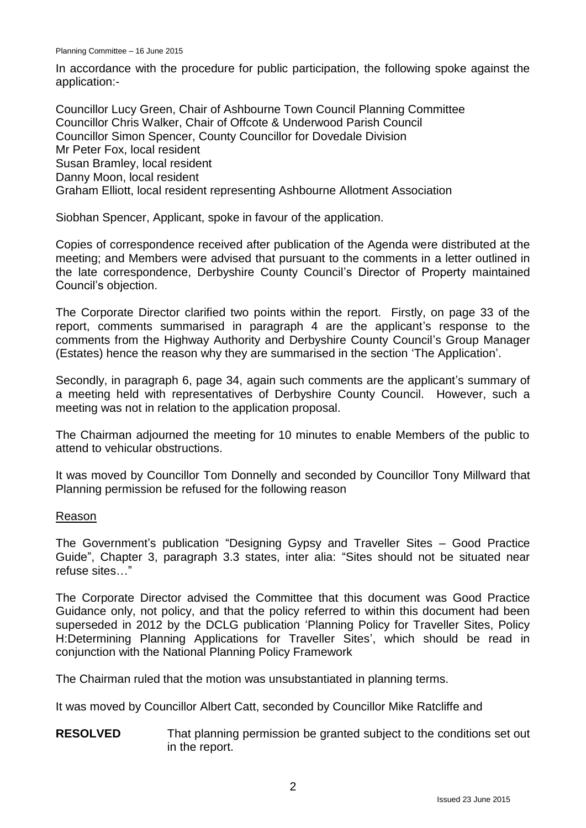In accordance with the procedure for public participation, the following spoke against the application:-

Councillor Lucy Green, Chair of Ashbourne Town Council Planning Committee Councillor Chris Walker, Chair of Offcote & Underwood Parish Council Councillor Simon Spencer, County Councillor for Dovedale Division Mr Peter Fox, local resident Susan Bramley, local resident Danny Moon, local resident Graham Elliott, local resident representing Ashbourne Allotment Association

Siobhan Spencer, Applicant, spoke in favour of the application.

Copies of correspondence received after publication of the Agenda were distributed at the meeting; and Members were advised that pursuant to the comments in a letter outlined in the late correspondence, Derbyshire County Council's Director of Property maintained Council's objection.

The Corporate Director clarified two points within the report. Firstly, on page 33 of the report, comments summarised in paragraph 4 are the applicant's response to the comments from the Highway Authority and Derbyshire County Council's Group Manager (Estates) hence the reason why they are summarised in the section 'The Application'.

Secondly, in paragraph 6, page 34, again such comments are the applicant's summary of a meeting held with representatives of Derbyshire County Council. However, such a meeting was not in relation to the application proposal.

The Chairman adjourned the meeting for 10 minutes to enable Members of the public to attend to vehicular obstructions.

It was moved by Councillor Tom Donnelly and seconded by Councillor Tony Millward that Planning permission be refused for the following reason

#### Reason

The Government's publication "Designing Gypsy and Traveller Sites – Good Practice Guide", Chapter 3, paragraph 3.3 states, inter alia: "Sites should not be situated near refuse sites…"

The Corporate Director advised the Committee that this document was Good Practice Guidance only, not policy, and that the policy referred to within this document had been superseded in 2012 by the DCLG publication 'Planning Policy for Traveller Sites, Policy H:Determining Planning Applications for Traveller Sites', which should be read in conjunction with the National Planning Policy Framework

The Chairman ruled that the motion was unsubstantiated in planning terms.

It was moved by Councillor Albert Catt, seconded by Councillor Mike Ratcliffe and

**RESOLVED** That planning permission be granted subject to the conditions set out in the report.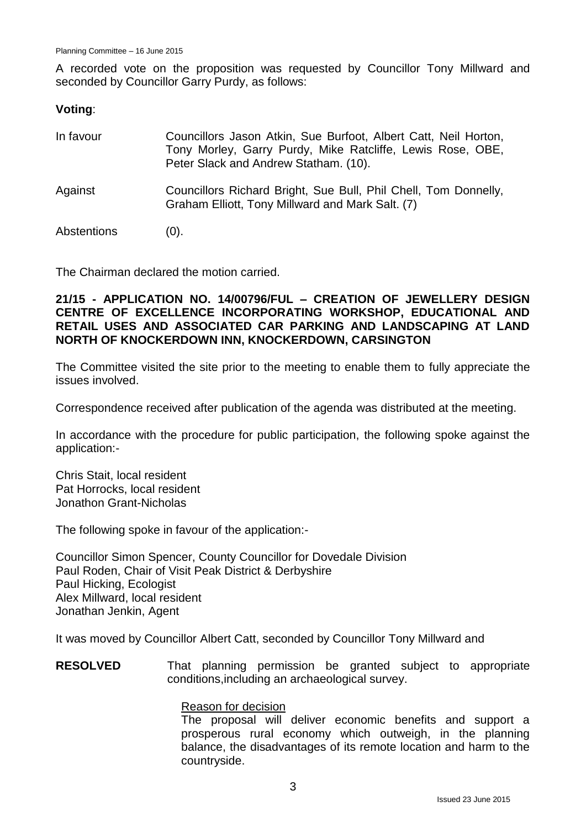A recorded vote on the proposition was requested by Councillor Tony Millward and seconded by Councillor Garry Purdy, as follows:

### **Voting**:

| In favour   | Councillors Jason Atkin, Sue Burfoot, Albert Catt, Neil Horton,<br>Tony Morley, Garry Purdy, Mike Ratcliffe, Lewis Rose, OBE,<br>Peter Slack and Andrew Statham. (10). |
|-------------|------------------------------------------------------------------------------------------------------------------------------------------------------------------------|
| Against     | Councillors Richard Bright, Sue Bull, Phil Chell, Tom Donnelly,<br>Graham Elliott, Tony Millward and Mark Salt. (7)                                                    |
| Abstentions | (0).                                                                                                                                                                   |

The Chairman declared the motion carried.

### **21/15 - APPLICATION NO. 14/00796/FUL – CREATION OF JEWELLERY DESIGN CENTRE OF EXCELLENCE INCORPORATING WORKSHOP, EDUCATIONAL AND RETAIL USES AND ASSOCIATED CAR PARKING AND LANDSCAPING AT LAND NORTH OF KNOCKERDOWN INN, KNOCKERDOWN, CARSINGTON**

The Committee visited the site prior to the meeting to enable them to fully appreciate the issues involved.

Correspondence received after publication of the agenda was distributed at the meeting.

In accordance with the procedure for public participation, the following spoke against the application:-

Chris Stait, local resident Pat Horrocks, local resident Jonathon Grant-Nicholas

The following spoke in favour of the application:-

Councillor Simon Spencer, County Councillor for Dovedale Division Paul Roden, Chair of Visit Peak District & Derbyshire Paul Hicking, Ecologist Alex Millward, local resident Jonathan Jenkin, Agent

It was moved by Councillor Albert Catt, seconded by Councillor Tony Millward and

**RESOLVED** That planning permission be granted subject to appropriate conditions,including an archaeological survey.

#### Reason for decision

The proposal will deliver economic benefits and support a prosperous rural economy which outweigh, in the planning balance, the disadvantages of its remote location and harm to the countryside.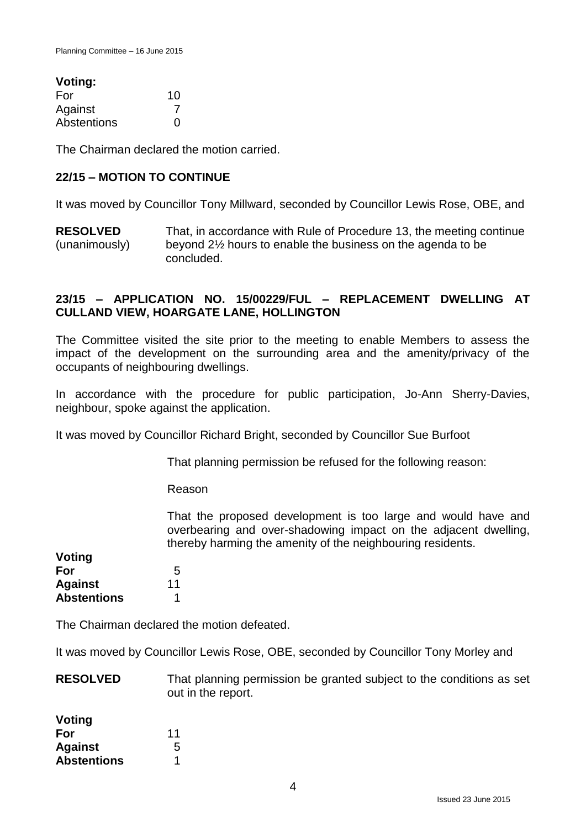| Voting:     |    |
|-------------|----|
| For         | 10 |
| Against     |    |
| Abstentions | O  |

The Chairman declared the motion carried.

#### **22/15 – MOTION TO CONTINUE**

It was moved by Councillor Tony Millward, seconded by Councillor Lewis Rose, OBE, and

**RESOLVED** (unanimously) That, in accordance with Rule of Procedure 13, the meeting continue beyond 2½ hours to enable the business on the agenda to be concluded.

### **23/15 – APPLICATION NO. 15/00229/FUL – REPLACEMENT DWELLING AT CULLAND VIEW, HOARGATE LANE, HOLLINGTON**

The Committee visited the site prior to the meeting to enable Members to assess the impact of the development on the surrounding area and the amenity/privacy of the occupants of neighbouring dwellings.

In accordance with the procedure for public participation, Jo-Ann Sherry-Davies, neighbour, spoke against the application.

It was moved by Councillor Richard Bright, seconded by Councillor Sue Burfoot

That planning permission be refused for the following reason:

Reason

That the proposed development is too large and would have and overbearing and over-shadowing impact on the adjacent dwelling, thereby harming the amenity of the neighbouring residents.

| Voting             |    |
|--------------------|----|
| For                | 5  |
| <b>Against</b>     | 11 |
| <b>Abstentions</b> |    |

The Chairman declared the motion defeated.

It was moved by Councillor Lewis Rose, OBE, seconded by Councillor Tony Morley and

**RESOLVED** That planning permission be granted subject to the conditions as set out in the report.

| <b>Voting</b>      |    |
|--------------------|----|
| For                | 11 |
| <b>Against</b>     | 5  |
| <b>Abstentions</b> |    |